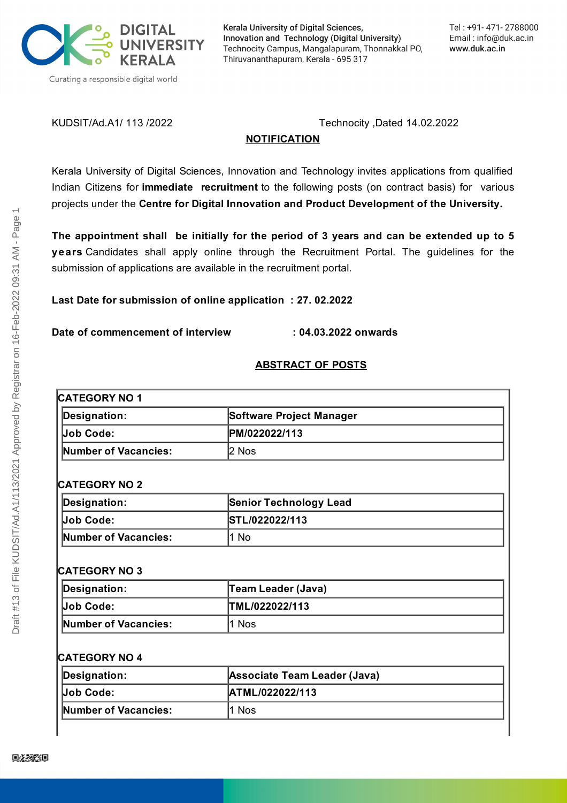

Kerala University of Digital Sciences, Innovation and Technology (Digital University) Technocity Campus, Mangalapuram, Thonnakkal PO, Thiruvananthapuram, Kerala - 695 317

KUDSIT/Ad.A1/ 113 /2022 Technocity ,Dated 14.02.2022

### **NOTIFICATION**

Kerala University of Digital Sciences, Innovation and Technology invites applications from qualified Indian Citizens for **immediate recruitment** to the following posts (on contract basis) for various projects under the **Centre for Digital Innovation and Product Development of the University.**

**The appointment shall be initially for the period of 3 years and can be extended up to 5 years** Candidates shall apply online through the Recruitment Portal. The guidelines for the submission of applications are available in the recruitment portal.

**Last Date for submission of online application : 27. 02.2022**

**Date of commencement of interview : 04.03.2022 onwards**

#### **ABSTRACT OF POSTS**

# **CATEGORY NO 1**

| Designation:         | Software Project Manager |
|----------------------|--------------------------|
| <b>Job Code:</b>     | PM/022022/113            |
| Number of Vacancies: | l2 Nos                   |

#### **CATEGORY NO 2**

| Designation:         | <b>Senior Technology Lead</b> |
|----------------------|-------------------------------|
| Job Code:            | STL/022022/113                |
| Number of Vacancies: | 1 No                          |

#### **CATEGORY NO 3**

| Designation:         | <b>Team Leader (Java)</b> |
|----------------------|---------------------------|
| <b>Job Code:</b>     | TML/022022/113            |
| Number of Vacancies: | l1 Nos                    |

| Designation:         | Associate Team Leader (Java) |
|----------------------|------------------------------|
| Job Code:            | <b>ATML/022022/113</b>       |
| Number of Vacancies: | l1 Nos                       |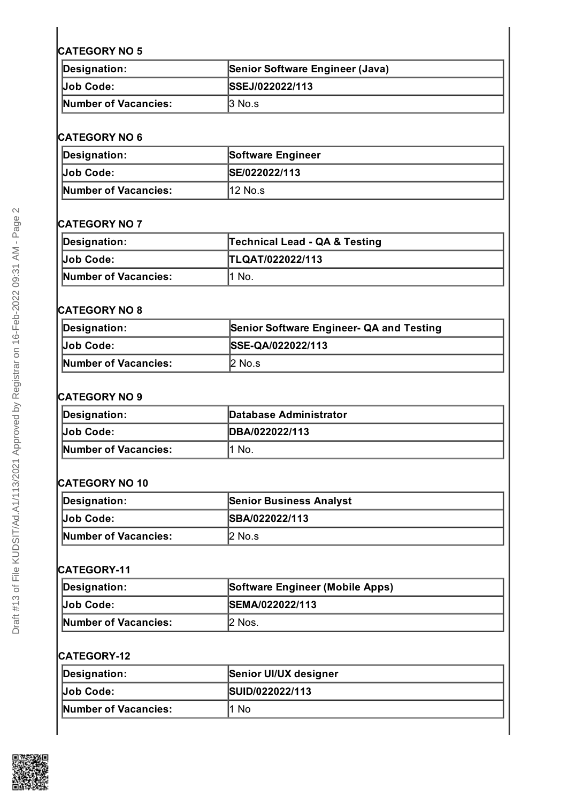| Designation:         | Senior Software Engineer (Java) |
|----------------------|---------------------------------|
|                      | <b>ISSEJ/022022/113</b>         |
| Number of Vacancies: | $ 3 \text{ No.s} $              |

#### **CATEGORY NO 6**

| Designation:                | Software Engineer     |
|-----------------------------|-----------------------|
| Uob Code:                   | <b>ISE/022022/113</b> |
| <b>Number of Vacancies:</b> | l12 No.s              |

#### **CATEGORY NO 7**

| Designation:         | Technical Lead - QA & Testing |
|----------------------|-------------------------------|
|                      | TLQAT/022022/113              |
| Number of Vacancies: | No.                           |

#### **CATEGORY NO 8**

| Designation:         | Senior Software Engineer- QA and Testing |
|----------------------|------------------------------------------|
| Job Code:            | SSE-QA/022022/113                        |
| Number of Vacancies: | $2$ No.s                                 |

## **CATEGORY NO 9**

| Designation:         | <b>Database Administrator</b> |
|----------------------|-------------------------------|
| Job Code:            | IDBA/022022/113               |
| Number of Vacancies: | No.                           |

#### **CATEGORY NO 10**

| Designation:         | <b>Senior Business Analyst</b> |
|----------------------|--------------------------------|
| <b>Job Code:</b>     | <b>ISBA/022022/113</b>         |
| Number of Vacancies: | l2 No.s                        |

#### **CATEGORY-11**

| Designation:         | Software Engineer (Mobile Apps) |
|----------------------|---------------------------------|
| Job Code:            | <b>ISEMA/022022/113</b>         |
| Number of Vacancies: | 2 Nos.                          |

#### **CATEGORY-12**

| Designation:                | Senior UI/UX designer |
|-----------------------------|-----------------------|
| Job Code:                   | SUID/022022/113       |
| <b>Number of Vacancies:</b> | No                    |

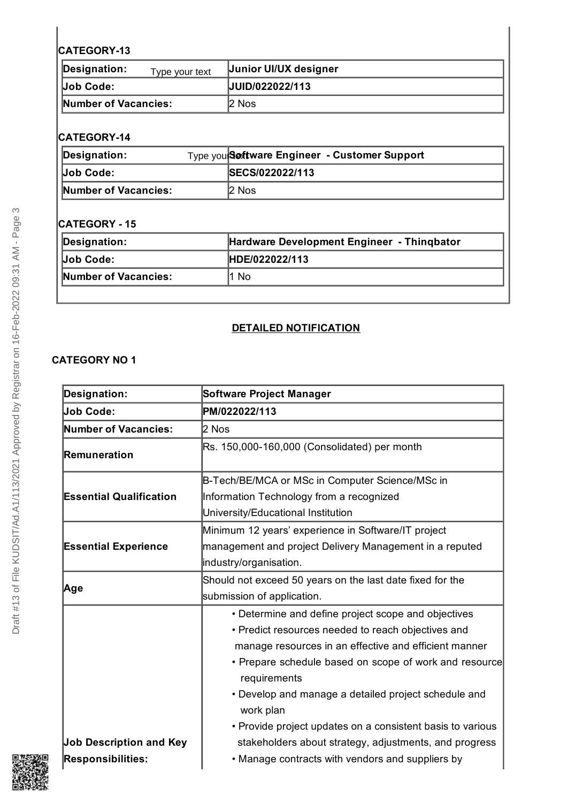| Designation: \<br>Type your text | <b>Junior UI/UX designer</b> |
|----------------------------------|------------------------------|
|                                  | UUID/022022/113              |
| Number of Vacancies:             | 2 Nos                        |

### **CATEGORY-14**

| Designation:         | Type you <b>Sextware Engineer - Customer Support</b> |
|----------------------|------------------------------------------------------|
| <b>Job Code:</b>     | <b>ISECS/022022/113</b>                              |
| Number of Vacancies: | 2 Nos                                                |

## **CATEGORY - 15**

| Designation:         | Hardware Development Engineer - Thingbator |
|----------------------|--------------------------------------------|
| Job Code:            | HDE/022022/113                             |
| Number of Vacancies: | 1 No                                       |

#### **DETAILED NOTIFICATION**

| <b>Designation:</b>            | Software Project Manager                                               |  |  |
|--------------------------------|------------------------------------------------------------------------|--|--|
| Job Code:                      | PM/022022/113                                                          |  |  |
| Number of Vacancies:           | 2 Nos                                                                  |  |  |
| Remuneration                   | Rs. 150,000-160,000 (Consolidated) per month                           |  |  |
|                                | B-Tech/BE/MCA or MSc in Computer Science/MSc in                        |  |  |
| <b>Essential Qualification</b> | Information Technology from a recognized                               |  |  |
|                                | University/Educational Institution                                     |  |  |
|                                | Minimum 12 years' experience in Software/IT project                    |  |  |
| <b>Essential Experience</b>    | management and project Delivery Management in a reputed                |  |  |
|                                | industry/organisation.                                                 |  |  |
| Age                            | Should not exceed 50 years on the last date fixed for the              |  |  |
|                                | submission of application.                                             |  |  |
|                                | • Determine and define project scope and objectives                    |  |  |
|                                | • Predict resources needed to reach objectives and                     |  |  |
|                                | manage resources in an effective and efficient manner                  |  |  |
|                                | • Prepare schedule based on scope of work and resource<br>requirements |  |  |
|                                | • Develop and manage a detailed project schedule and<br>work plan      |  |  |
|                                | • Provide project updates on a consistent basis to various             |  |  |
| <b>Job Description and Key</b> | stakeholders about strategy, adjustments, and progress                 |  |  |
| <b>Responsibilities:</b>       | • Manage contracts with vendors and suppliers by                       |  |  |

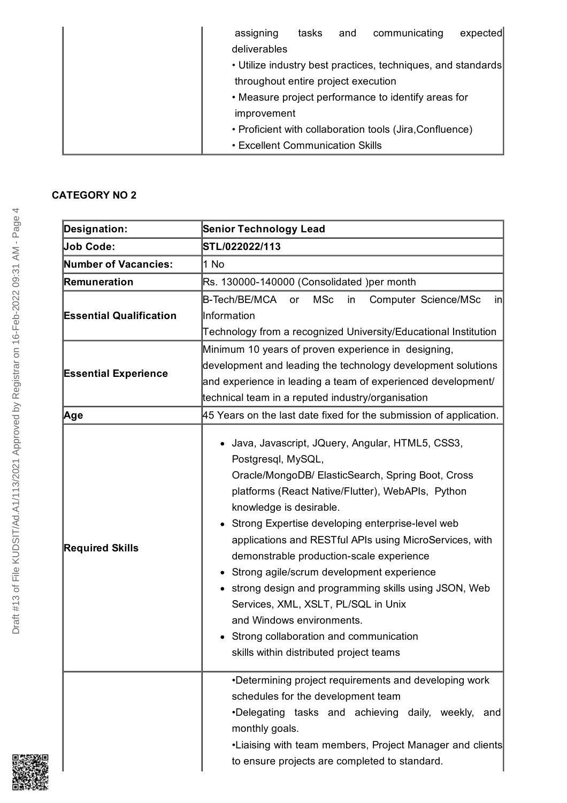| assigning                               | tasks | and | communicating                                                | expected |
|-----------------------------------------|-------|-----|--------------------------------------------------------------|----------|
| deliverables                            |       |     |                                                              |          |
|                                         |       |     | • Utilize industry best practices, techniques, and standards |          |
| throughout entire project execution     |       |     |                                                              |          |
|                                         |       |     | • Measure project performance to identify areas for          |          |
| improvement                             |       |     |                                                              |          |
|                                         |       |     | • Proficient with collaboration tools (Jira, Confluence)     |          |
| <b>• Excellent Communication Skills</b> |       |     |                                                              |          |

| <b>Designation:</b>            | <b>Senior Technology Lead</b>                                                                                                                                                                                                                                                                                                                                                                                                                                                                                                                                                                                                                |  |  |
|--------------------------------|----------------------------------------------------------------------------------------------------------------------------------------------------------------------------------------------------------------------------------------------------------------------------------------------------------------------------------------------------------------------------------------------------------------------------------------------------------------------------------------------------------------------------------------------------------------------------------------------------------------------------------------------|--|--|
| <b>Job Code:</b>               | STL/022022/113                                                                                                                                                                                                                                                                                                                                                                                                                                                                                                                                                                                                                               |  |  |
| <b>Number of Vacancies:</b>    | 1 No                                                                                                                                                                                                                                                                                                                                                                                                                                                                                                                                                                                                                                         |  |  |
| Remuneration                   | Rs. 130000-140000 (Consolidated )per month                                                                                                                                                                                                                                                                                                                                                                                                                                                                                                                                                                                                   |  |  |
| <b>Essential Qualification</b> | B-Tech/BE/MCA<br><b>MSc</b><br>Computer Science/MSc<br>in<br><b>or</b><br>.in<br>Information<br>Technology from a recognized University/Educational Institution                                                                                                                                                                                                                                                                                                                                                                                                                                                                              |  |  |
| <b>Essential Experience</b>    | Minimum 10 years of proven experience in designing,<br>development and leading the technology development solutions<br>and experience in leading a team of experienced development/<br>technical team in a reputed industry/organisation                                                                                                                                                                                                                                                                                                                                                                                                     |  |  |
| ∣Age                           | 45 Years on the last date fixed for the submission of application.                                                                                                                                                                                                                                                                                                                                                                                                                                                                                                                                                                           |  |  |
| <b>Required Skills</b>         | • Java, Javascript, JQuery, Angular, HTML5, CSS3,<br>Postgresql, MySQL,<br>Oracle/MongoDB/ ElasticSearch, Spring Boot, Cross<br>platforms (React Native/Flutter), WebAPIs, Python<br>knowledge is desirable.<br>Strong Expertise developing enterprise-level web<br>٠<br>applications and RESTful APIs using MicroServices, with<br>demonstrable production-scale experience<br>Strong agile/scrum development experience<br>• strong design and programming skills using JSON, Web<br>Services, XML, XSLT, PL/SQL in Unix<br>and Windows environments.<br>Strong collaboration and communication<br>skills within distributed project teams |  |  |
|                                | •Determining project requirements and developing work<br>schedules for the development team<br>•Delegating tasks and achieving daily, weekly,<br>and<br>monthly goals.<br>•Liaising with team members, Project Manager and clients<br>to ensure projects are completed to standard.                                                                                                                                                                                                                                                                                                                                                          |  |  |

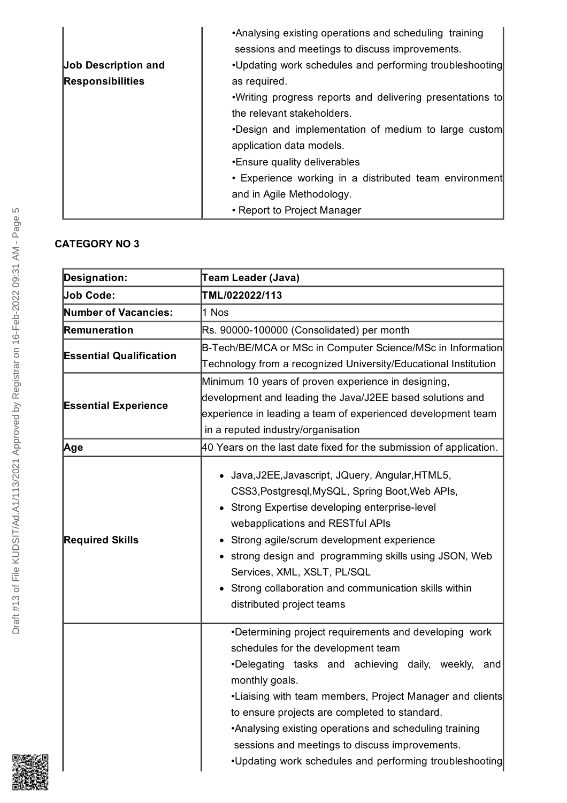|                            | •Analysing existing operations and scheduling training     |
|----------------------------|------------------------------------------------------------|
|                            | sessions and meetings to discuss improvements.             |
| <b>Job Description and</b> | •Updating work schedules and performing troubleshooting    |
| <b>Responsibilities</b>    | as required.                                               |
|                            | . Writing progress reports and delivering presentations to |
|                            | the relevant stakeholders.                                 |
|                            | •Design and implementation of medium to large custom       |
|                            | application data models.                                   |
|                            | •Ensure quality deliverables                               |
|                            | • Experience working in a distributed team environment     |
|                            | and in Agile Methodology.                                  |
|                            | • Report to Project Manager                                |

| <b>Designation:</b>            | Team Leader (Java)                                                                                                                                                                                                                                                                                                                                                                                                                                          |  |  |
|--------------------------------|-------------------------------------------------------------------------------------------------------------------------------------------------------------------------------------------------------------------------------------------------------------------------------------------------------------------------------------------------------------------------------------------------------------------------------------------------------------|--|--|
| <b>Job Code:</b>               | TML/022022/113                                                                                                                                                                                                                                                                                                                                                                                                                                              |  |  |
| <b>Number of Vacancies:</b>    | 1 Nos                                                                                                                                                                                                                                                                                                                                                                                                                                                       |  |  |
| Remuneration                   | Rs. 90000-100000 (Consolidated) per month                                                                                                                                                                                                                                                                                                                                                                                                                   |  |  |
| <b>Essential Qualification</b> | B-Tech/BE/MCA or MSc in Computer Science/MSc in Information                                                                                                                                                                                                                                                                                                                                                                                                 |  |  |
|                                | Technology from a recognized University/Educational Institution                                                                                                                                                                                                                                                                                                                                                                                             |  |  |
|                                | Minimum 10 years of proven experience in designing,                                                                                                                                                                                                                                                                                                                                                                                                         |  |  |
| <b>Essential Experience</b>    | development and leading the Java/J2EE based solutions and                                                                                                                                                                                                                                                                                                                                                                                                   |  |  |
|                                | experience in leading a team of experienced development team                                                                                                                                                                                                                                                                                                                                                                                                |  |  |
|                                | in a reputed industry/organisation                                                                                                                                                                                                                                                                                                                                                                                                                          |  |  |
| Age                            | 40 Years on the last date fixed for the submission of application.                                                                                                                                                                                                                                                                                                                                                                                          |  |  |
| <b>Required Skills</b>         | • Java, J2EE, Javascript, JQuery, Angular, HTML5,<br>CSS3, Postgresql, MySQL, Spring Boot, Web APIs,<br>• Strong Expertise developing enterprise-level<br>webapplications and RESTful APIs<br>Strong agile/scrum development experience<br>• strong design and programming skills using JSON, Web<br>Services, XML, XSLT, PL/SQL<br>Strong collaboration and communication skills within<br>distributed project teams                                       |  |  |
|                                | •Determining project requirements and developing work<br>schedules for the development team<br>.Delegating tasks and achieving daily, weekly,<br>and<br>monthly goals.<br>•Liaising with team members, Project Manager and clients<br>to ensure projects are completed to standard.<br>•Analysing existing operations and scheduling training<br>sessions and meetings to discuss improvements.<br>. Updating work schedules and performing troubleshooting |  |  |

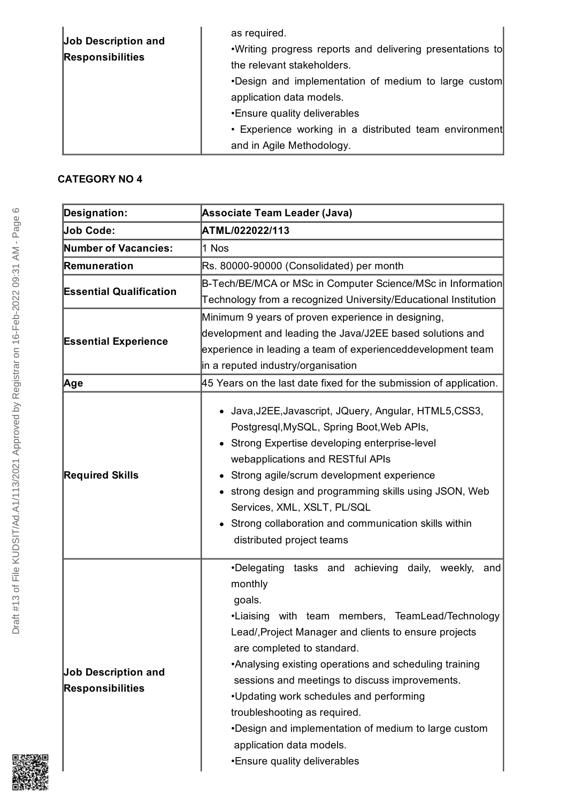| <b>Job Description and</b><br><b>Responsibilities</b> | as required.<br>. Writing progress reports and delivering presentations to<br>the relevant stakeholders.<br>. Design and implementation of medium to large custom<br>application data models.<br>•Ensure quality deliverables<br>• Experience working in a distributed team environment<br>and in Agile Methodology. |
|-------------------------------------------------------|----------------------------------------------------------------------------------------------------------------------------------------------------------------------------------------------------------------------------------------------------------------------------------------------------------------------|
|-------------------------------------------------------|----------------------------------------------------------------------------------------------------------------------------------------------------------------------------------------------------------------------------------------------------------------------------------------------------------------------|

| <b>Designation:</b>                                   | <b>Associate Team Leader (Java)</b>                                                                                                                                                                                                                                                                                                                                                                                                                                                                                                       |  |  |
|-------------------------------------------------------|-------------------------------------------------------------------------------------------------------------------------------------------------------------------------------------------------------------------------------------------------------------------------------------------------------------------------------------------------------------------------------------------------------------------------------------------------------------------------------------------------------------------------------------------|--|--|
| <b>Job Code:</b>                                      | ATML/022022/113                                                                                                                                                                                                                                                                                                                                                                                                                                                                                                                           |  |  |
| <b>Number of Vacancies:</b>                           | 1 Nos                                                                                                                                                                                                                                                                                                                                                                                                                                                                                                                                     |  |  |
| Remuneration                                          | Rs. 80000-90000 (Consolidated) per month                                                                                                                                                                                                                                                                                                                                                                                                                                                                                                  |  |  |
| <b>Essential Qualification</b>                        | B-Tech/BE/MCA or MSc in Computer Science/MSc in Information                                                                                                                                                                                                                                                                                                                                                                                                                                                                               |  |  |
|                                                       | Technology from a recognized University/Educational Institution                                                                                                                                                                                                                                                                                                                                                                                                                                                                           |  |  |
| <b>Essential Experience</b>                           | Minimum 9 years of proven experience in designing,<br>development and leading the Java/J2EE based solutions and<br>experience in leading a team of experienceddevelopment team<br>in a reputed industry/organisation                                                                                                                                                                                                                                                                                                                      |  |  |
| ∣Age                                                  | 45 Years on the last date fixed for the submission of application.                                                                                                                                                                                                                                                                                                                                                                                                                                                                        |  |  |
| <b>Required Skills</b>                                | • Java, J2EE, Javascript, JQuery, Angular, HTML5, CSS3,<br>Postgresql, MySQL, Spring Boot, Web APIs,<br>• Strong Expertise developing enterprise-level<br>webapplications and RESTful APIs<br>Strong agile/scrum development experience<br>• strong design and programming skills using JSON, Web<br>Services, XML, XSLT, PL/SQL<br>• Strong collaboration and communication skills within<br>distributed project teams                                                                                                                   |  |  |
| <b>Job Description and</b><br><b>Responsibilities</b> | •Delegating tasks and achieving daily, weekly,<br>and<br>monthly<br>goals.<br>•Liaising with team members, TeamLead/Technology<br>Lead/, Project Manager and clients to ensure projects<br>are completed to standard.<br>•Analysing existing operations and scheduling training<br>sessions and meetings to discuss improvements.<br>•Updating work schedules and performing<br>troubleshooting as required.<br>. Design and implementation of medium to large custom<br>application data models.<br><b>.</b> Ensure quality deliverables |  |  |

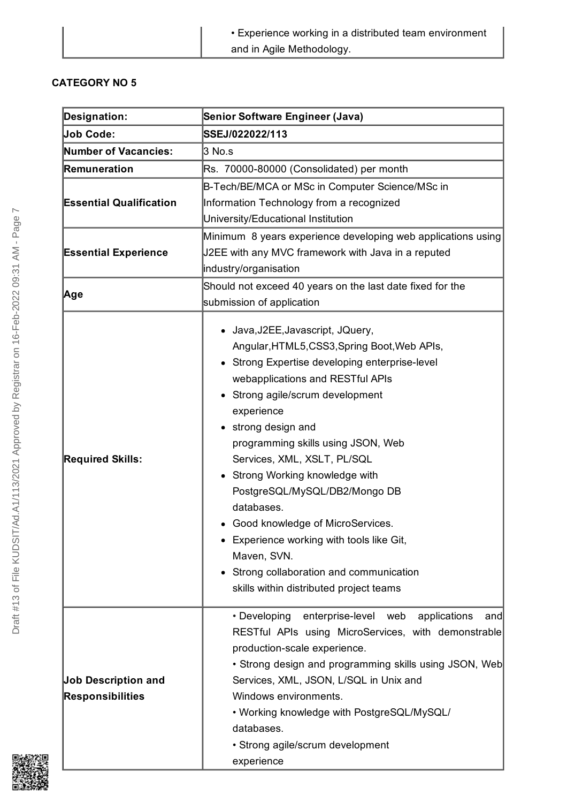| • Experience working in a distributed team environment |
|--------------------------------------------------------|
| and in Agile Methodology.                              |

| <b>Designation:</b>                                   | Senior Software Engineer (Java)                                                                                                                                                                                                                                                                                                                                                                                                                                                                                                                                                                                                                                      |  |  |
|-------------------------------------------------------|----------------------------------------------------------------------------------------------------------------------------------------------------------------------------------------------------------------------------------------------------------------------------------------------------------------------------------------------------------------------------------------------------------------------------------------------------------------------------------------------------------------------------------------------------------------------------------------------------------------------------------------------------------------------|--|--|
| <b>Job Code:</b>                                      | SSEJ/022022/113                                                                                                                                                                                                                                                                                                                                                                                                                                                                                                                                                                                                                                                      |  |  |
| <b>Number of Vacancies:</b>                           | 3 No.s                                                                                                                                                                                                                                                                                                                                                                                                                                                                                                                                                                                                                                                               |  |  |
| Remuneration                                          | Rs. 70000-80000 (Consolidated) per month                                                                                                                                                                                                                                                                                                                                                                                                                                                                                                                                                                                                                             |  |  |
|                                                       | B-Tech/BE/MCA or MSc in Computer Science/MSc in                                                                                                                                                                                                                                                                                                                                                                                                                                                                                                                                                                                                                      |  |  |
| <b>Essential Qualification</b>                        | Information Technology from a recognized                                                                                                                                                                                                                                                                                                                                                                                                                                                                                                                                                                                                                             |  |  |
|                                                       | University/Educational Institution                                                                                                                                                                                                                                                                                                                                                                                                                                                                                                                                                                                                                                   |  |  |
|                                                       | Minimum 8 years experience developing web applications using                                                                                                                                                                                                                                                                                                                                                                                                                                                                                                                                                                                                         |  |  |
| <b>Essential Experience</b>                           | J2EE with any MVC framework with Java in a reputed                                                                                                                                                                                                                                                                                                                                                                                                                                                                                                                                                                                                                   |  |  |
|                                                       | industry/organisation                                                                                                                                                                                                                                                                                                                                                                                                                                                                                                                                                                                                                                                |  |  |
|                                                       | Should not exceed 40 years on the last date fixed for the                                                                                                                                                                                                                                                                                                                                                                                                                                                                                                                                                                                                            |  |  |
| Age                                                   | submission of application                                                                                                                                                                                                                                                                                                                                                                                                                                                                                                                                                                                                                                            |  |  |
| <b>Required Skills:</b>                               | Java, J2EE, Javascript, JQuery,<br>Angular, HTML5, CSS3, Spring Boot, Web APIs,<br>Strong Expertise developing enterprise-level<br>webapplications and RESTful APIs<br>Strong agile/scrum development<br>experience<br>strong design and<br>programming skills using JSON, Web<br>Services, XML, XSLT, PL/SQL<br>Strong Working knowledge with<br>$\bullet$<br>PostgreSQL/MySQL/DB2/Mongo DB<br>databases.<br>Good knowledge of MicroServices.<br>٠<br>Experience working with tools like Git,<br>Maven, SVN.<br>Strong collaboration and communication<br>skills within distributed project teams<br>• Developing<br>enterprise-level<br>applications<br>web<br>and |  |  |
| <b>Job Description and</b><br><b>Responsibilities</b> | RESTful APIs using MicroServices, with demonstrable<br>production-scale experience.<br>• Strong design and programming skills using JSON, Web<br>Services, XML, JSON, L/SQL in Unix and<br>Windows environments.<br>• Working knowledge with PostgreSQL/MySQL/<br>databases.<br>• Strong agile/scrum development<br>experience                                                                                                                                                                                                                                                                                                                                       |  |  |

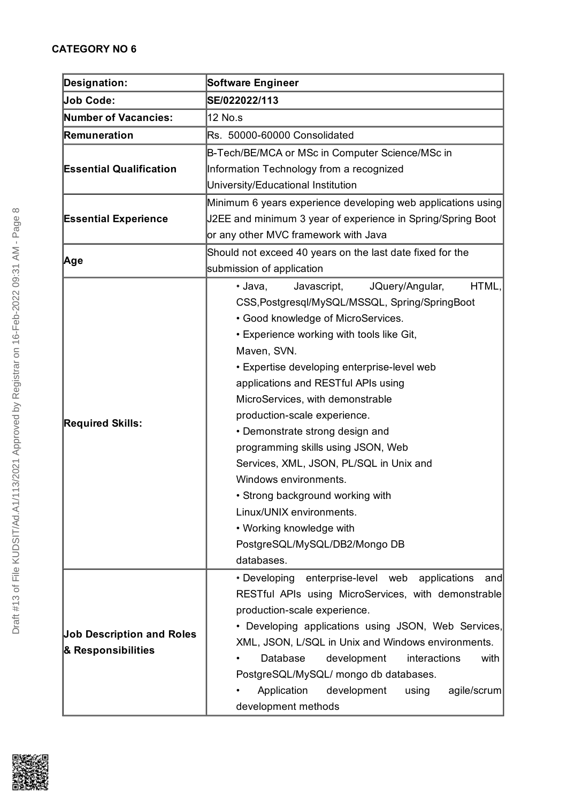| <b>Designation:</b>                                    | <b>Software Engineer</b>                                                                                                                                                                                                                                                                                                                                                                                                                                                                                                                                                                                                                                 |
|--------------------------------------------------------|----------------------------------------------------------------------------------------------------------------------------------------------------------------------------------------------------------------------------------------------------------------------------------------------------------------------------------------------------------------------------------------------------------------------------------------------------------------------------------------------------------------------------------------------------------------------------------------------------------------------------------------------------------|
| <b>Job Code:</b>                                       | SE/022022/113                                                                                                                                                                                                                                                                                                                                                                                                                                                                                                                                                                                                                                            |
| <b>Number of Vacancies:</b>                            | 12 No.s                                                                                                                                                                                                                                                                                                                                                                                                                                                                                                                                                                                                                                                  |
| Remuneration                                           | Rs. 50000-60000 Consolidated                                                                                                                                                                                                                                                                                                                                                                                                                                                                                                                                                                                                                             |
| <b>Essential Qualification</b>                         | B-Tech/BE/MCA or MSc in Computer Science/MSc in<br>Information Technology from a recognized<br>University/Educational Institution                                                                                                                                                                                                                                                                                                                                                                                                                                                                                                                        |
| <b>Essential Experience</b>                            | Minimum 6 years experience developing web applications using<br>J2EE and minimum 3 year of experience in Spring/Spring Boot<br>or any other MVC framework with Java                                                                                                                                                                                                                                                                                                                                                                                                                                                                                      |
| Age                                                    | Should not exceed 40 years on the last date fixed for the<br>submission of application                                                                                                                                                                                                                                                                                                                                                                                                                                                                                                                                                                   |
| <b>Required Skills:</b>                                | JQuery/Angular,<br>HTML,<br>• Java,<br>Javascript,<br>CSS, Postgresql/MySQL/MSSQL, Spring/SpringBoot<br>• Good knowledge of MicroServices.<br>• Experience working with tools like Git,<br>Maven, SVN.<br>• Expertise developing enterprise-level web<br>applications and RESTful APIs using<br>MicroServices, with demonstrable<br>production-scale experience.<br>• Demonstrate strong design and<br>programming skills using JSON, Web<br>Services, XML, JSON, PL/SQL in Unix and<br>Windows environments.<br>• Strong background working with<br>Linux/UNIX environments.<br>• Working knowledge with<br>PostgreSQL/MySQL/DB2/Mongo DB<br>databases. |
| <b>Job Description and Roles</b><br>& Responsibilities | • Developing enterprise-level web<br>applications<br>and<br>RESTful APIs using MicroServices, with demonstrable<br>production-scale experience.<br>• Developing applications using JSON, Web Services,<br>XML, JSON, L/SQL in Unix and Windows environments.<br>Database<br>development<br>interactions<br>with<br>PostgreSQL/MySQL/ mongo db databases.<br>Application<br>development<br>agile/scrum<br>using<br>development methods                                                                                                                                                                                                                    |

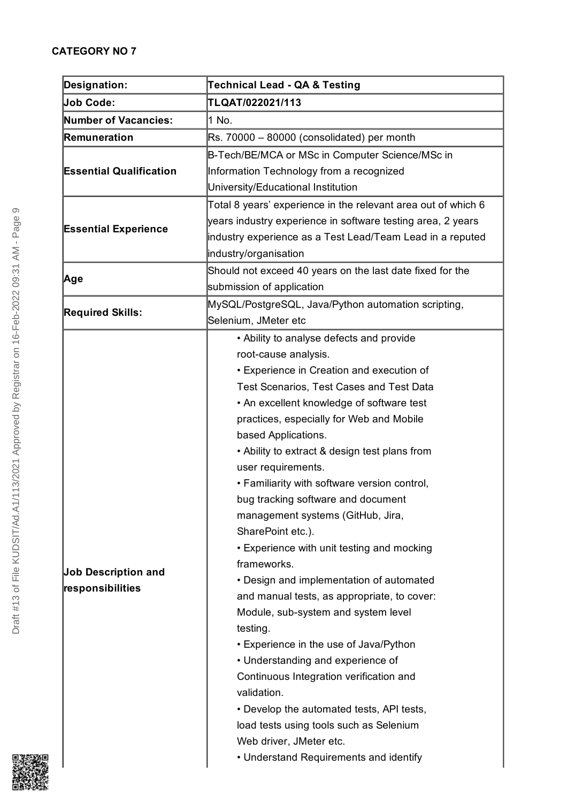| Designation:                                   | <b>Technical Lead - QA &amp; Testing</b>                                                                                                                                                                                                                                                                                                                                                                                                                                                                                                                                                                                                                                                                                                                                                                                                                                                                                                                                                                                 |
|------------------------------------------------|--------------------------------------------------------------------------------------------------------------------------------------------------------------------------------------------------------------------------------------------------------------------------------------------------------------------------------------------------------------------------------------------------------------------------------------------------------------------------------------------------------------------------------------------------------------------------------------------------------------------------------------------------------------------------------------------------------------------------------------------------------------------------------------------------------------------------------------------------------------------------------------------------------------------------------------------------------------------------------------------------------------------------|
| <b>Job Code:</b>                               | TLQAT/022021/113                                                                                                                                                                                                                                                                                                                                                                                                                                                                                                                                                                                                                                                                                                                                                                                                                                                                                                                                                                                                         |
| <b>Number of Vacancies:</b>                    | 1 No.                                                                                                                                                                                                                                                                                                                                                                                                                                                                                                                                                                                                                                                                                                                                                                                                                                                                                                                                                                                                                    |
| Remuneration                                   | Rs. 70000 - 80000 (consolidated) per month                                                                                                                                                                                                                                                                                                                                                                                                                                                                                                                                                                                                                                                                                                                                                                                                                                                                                                                                                                               |
| <b>Essential Qualification</b>                 | B-Tech/BE/MCA or MSc in Computer Science/MSc in<br>Information Technology from a recognized<br>University/Educational Institution                                                                                                                                                                                                                                                                                                                                                                                                                                                                                                                                                                                                                                                                                                                                                                                                                                                                                        |
| <b>Essential Experience</b>                    | Total 8 years' experience in the relevant area out of which 6<br>years industry experience in software testing area, 2 years<br>industry experience as a Test Lead/Team Lead in a reputed<br>industry/organisation                                                                                                                                                                                                                                                                                                                                                                                                                                                                                                                                                                                                                                                                                                                                                                                                       |
| Age                                            | Should not exceed 40 years on the last date fixed for the<br>submission of application                                                                                                                                                                                                                                                                                                                                                                                                                                                                                                                                                                                                                                                                                                                                                                                                                                                                                                                                   |
| <b>Required Skills:</b>                        | MySQL/PostgreSQL, Java/Python automation scripting,<br>Selenium, JMeter etc                                                                                                                                                                                                                                                                                                                                                                                                                                                                                                                                                                                                                                                                                                                                                                                                                                                                                                                                              |
| <b>Job Description and</b><br>responsibilities | • Ability to analyse defects and provide<br>root-cause analysis.<br><b>• Experience in Creation and execution of</b><br>Test Scenarios, Test Cases and Test Data<br>• An excellent knowledge of software test<br>practices, especially for Web and Mobile<br>based Applications.<br>• Ability to extract & design test plans from<br>user requirements.<br>• Familiarity with software version control,<br>bug tracking software and document<br>management systems (GitHub, Jira,<br>SharePoint etc.).<br>• Experience with unit testing and mocking<br>frameworks.<br>• Design and implementation of automated<br>and manual tests, as appropriate, to cover:<br>Module, sub-system and system level<br>testing.<br>• Experience in the use of Java/Python<br>• Understanding and experience of<br>Continuous Integration verification and<br>validation.<br>• Develop the automated tests, API tests,<br>load tests using tools such as Selenium<br>Web driver, JMeter etc.<br>• Understand Requirements and identify |

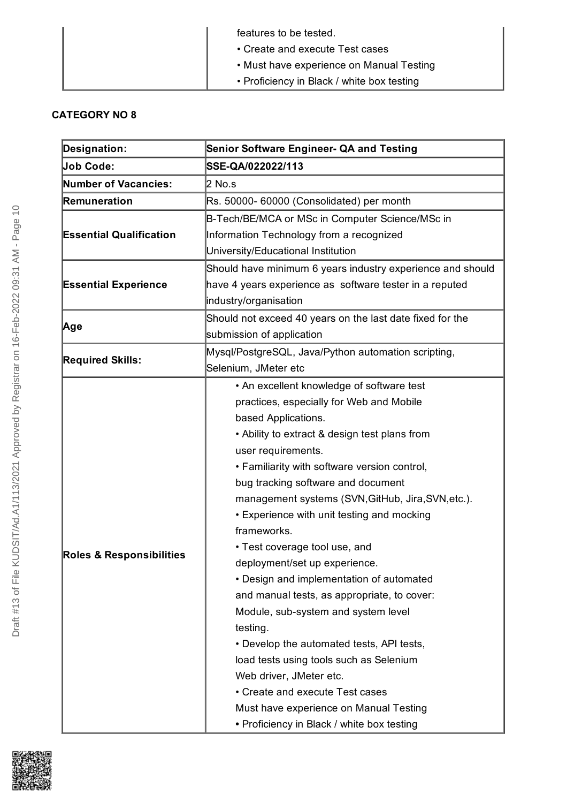| features to be tested.                     |
|--------------------------------------------|
| • Create and execute Test cases            |
| • Must have experience on Manual Testing   |
| • Proficiency in Black / white box testing |

| <b>Designation:</b>                 | <b>Senior Software Engineer- QA and Testing</b>            |
|-------------------------------------|------------------------------------------------------------|
| <b>Job Code:</b>                    | SSE-QA/022022/113                                          |
| <b>Number of Vacancies:</b>         | 2 No.s                                                     |
| Remuneration                        | Rs. 50000- 60000 (Consolidated) per month                  |
|                                     | B-Tech/BE/MCA or MSc in Computer Science/MSc in            |
| <b>Essential Qualification</b>      | Information Technology from a recognized                   |
|                                     | University/Educational Institution                         |
|                                     | Should have minimum 6 years industry experience and should |
| <b>Essential Experience</b>         | have 4 years experience as software tester in a reputed    |
|                                     | industry/organisation                                      |
|                                     | Should not exceed 40 years on the last date fixed for the  |
| ∣Age                                | submission of application                                  |
| <b>Required Skills:</b>             | Mysql/PostgreSQL, Java/Python automation scripting,        |
|                                     | Selenium, JMeter etc                                       |
|                                     | • An excellent knowledge of software test                  |
|                                     | practices, especially for Web and Mobile                   |
|                                     | based Applications.                                        |
|                                     | • Ability to extract & design test plans from              |
|                                     | user requirements.                                         |
|                                     | • Familiarity with software version control,               |
|                                     | bug tracking software and document                         |
|                                     | management systems (SVN, GitHub, Jira, SVN, etc.).         |
|                                     | • Experience with unit testing and mocking                 |
|                                     | frameworks.                                                |
|                                     | • Test coverage tool use, and                              |
| <b>Roles &amp; Responsibilities</b> | deployment/set up experience.                              |
|                                     | • Design and implementation of automated                   |
|                                     | and manual tests, as appropriate, to cover:                |
|                                     | Module, sub-system and system level                        |
|                                     | testing.                                                   |
|                                     | • Develop the automated tests, API tests,                  |
|                                     | load tests using tools such as Selenium                    |
|                                     | Web driver, JMeter etc.                                    |
|                                     | • Create and execute Test cases                            |
|                                     | Must have experience on Manual Testing                     |
|                                     | • Proficiency in Black / white box testing                 |

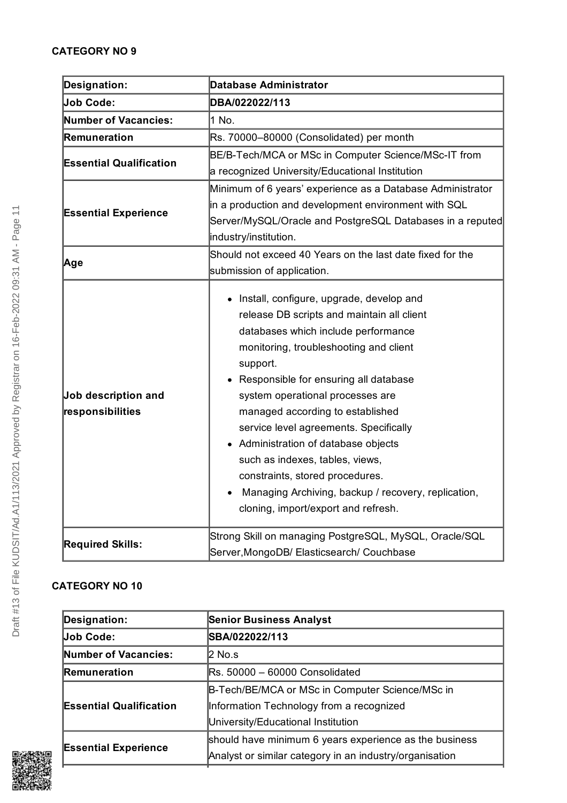| Designation:                            | <b>Database Administrator</b>                                                                                                                                                                                                                                                                                                                                                                                                                                                                                                                                             |
|-----------------------------------------|---------------------------------------------------------------------------------------------------------------------------------------------------------------------------------------------------------------------------------------------------------------------------------------------------------------------------------------------------------------------------------------------------------------------------------------------------------------------------------------------------------------------------------------------------------------------------|
| <b>Job Code:</b>                        | DBA/022022/113                                                                                                                                                                                                                                                                                                                                                                                                                                                                                                                                                            |
| Number of Vacancies:                    | 1 No.                                                                                                                                                                                                                                                                                                                                                                                                                                                                                                                                                                     |
| Remuneration                            | Rs. 70000-80000 (Consolidated) per month                                                                                                                                                                                                                                                                                                                                                                                                                                                                                                                                  |
| <b>Essential Qualification</b>          | BE/B-Tech/MCA or MSc in Computer Science/MSc-IT from                                                                                                                                                                                                                                                                                                                                                                                                                                                                                                                      |
|                                         | a recognized University/Educational Institution                                                                                                                                                                                                                                                                                                                                                                                                                                                                                                                           |
|                                         | Minimum of 6 years' experience as a Database Administrator                                                                                                                                                                                                                                                                                                                                                                                                                                                                                                                |
| <b>Essential Experience</b>             | in a production and development environment with SQL                                                                                                                                                                                                                                                                                                                                                                                                                                                                                                                      |
|                                         | Server/MySQL/Oracle and PostgreSQL Databases in a reputed                                                                                                                                                                                                                                                                                                                                                                                                                                                                                                                 |
|                                         | industry/institution.                                                                                                                                                                                                                                                                                                                                                                                                                                                                                                                                                     |
| Age                                     | Should not exceed 40 Years on the last date fixed for the                                                                                                                                                                                                                                                                                                                                                                                                                                                                                                                 |
|                                         | submission of application.                                                                                                                                                                                                                                                                                                                                                                                                                                                                                                                                                |
| Job description and<br>responsibilities | • Install, configure, upgrade, develop and<br>release DB scripts and maintain all client<br>databases which include performance<br>monitoring, troubleshooting and client<br>support.<br>Responsible for ensuring all database<br>system operational processes are<br>managed according to established<br>service level agreements. Specifically<br>• Administration of database objects<br>such as indexes, tables, views,<br>constraints, stored procedures.<br>Managing Archiving, backup / recovery, replication,<br>$\bullet$<br>cloning, import/export and refresh. |
| <b>Required Skills:</b>                 | Strong Skill on managing PostgreSQL, MySQL, Oracle/SQL<br>Server, MongoDB/ Elasticsearch/ Couchbase                                                                                                                                                                                                                                                                                                                                                                                                                                                                       |

| <b>Senior Business Analyst</b>                          |
|---------------------------------------------------------|
| SBA/022022/113                                          |
| $2$ No.s                                                |
| $\textsf{IRs.}\,50000 - 60000$ Consolidated             |
| B-Tech/BE/MCA or MSc in Computer Science/MSc in         |
| Information Technology from a recognized                |
| University/Educational Institution                      |
| should have minimum 6 years experience as the business  |
| Analyst or similar category in an industry/organisation |
|                                                         |

Draft #13 of File KUDSIT/Ad.A1/113/2021 Approved by Registrar on 16-Feb-2022 09:31 AM - Page 11

Draft #13 of File KUDSIT/Ad.A1/113/2021 Approved by Registrar on 16-Feb-2022 09:31 AM - Page 11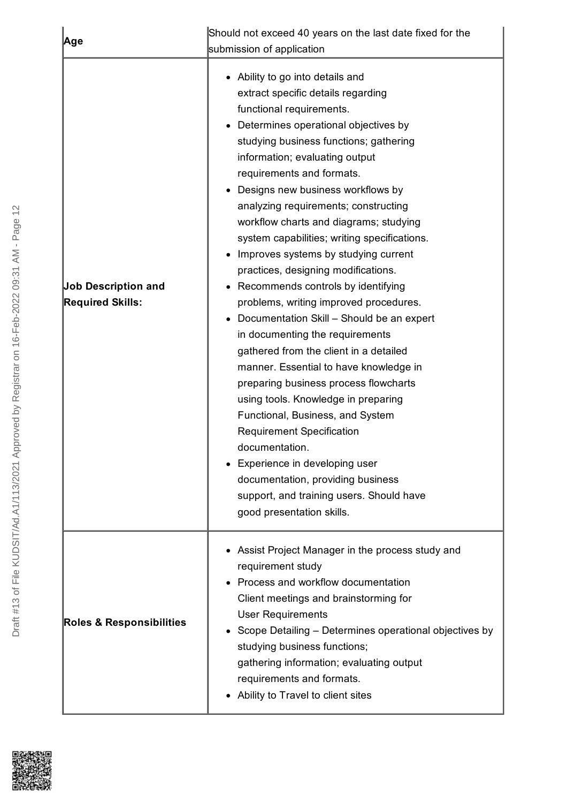| Age                                                   | Should not exceed 40 years on the last date fixed for the<br>submission of application                                                                                                                                                                                                                                                                                                                                                                                                                                                                                                                                                                                                                                                                                                                                                                                                                                                                                                                                                                                                     |
|-------------------------------------------------------|--------------------------------------------------------------------------------------------------------------------------------------------------------------------------------------------------------------------------------------------------------------------------------------------------------------------------------------------------------------------------------------------------------------------------------------------------------------------------------------------------------------------------------------------------------------------------------------------------------------------------------------------------------------------------------------------------------------------------------------------------------------------------------------------------------------------------------------------------------------------------------------------------------------------------------------------------------------------------------------------------------------------------------------------------------------------------------------------|
| <b>Job Description and</b><br><b>Required Skills:</b> | • Ability to go into details and<br>extract specific details regarding<br>functional requirements.<br>Determines operational objectives by<br>studying business functions; gathering<br>information; evaluating output<br>requirements and formats.<br>• Designs new business workflows by<br>analyzing requirements; constructing<br>workflow charts and diagrams; studying<br>system capabilities; writing specifications.<br>Improves systems by studying current<br>practices, designing modifications.<br>Recommends controls by identifying<br>problems, writing improved procedures.<br>Documentation Skill - Should be an expert<br>in documenting the requirements<br>gathered from the client in a detailed<br>manner. Essential to have knowledge in<br>preparing business process flowcharts<br>using tools. Knowledge in preparing<br>Functional, Business, and System<br><b>Requirement Specification</b><br>documentation.<br>• Experience in developing user<br>documentation, providing business<br>support, and training users. Should have<br>good presentation skills. |
| <b>Roles &amp; Responsibilities</b>                   | • Assist Project Manager in the process study and<br>requirement study<br>Process and workflow documentation<br>Client meetings and brainstorming for<br><b>User Requirements</b><br>Scope Detailing – Determines operational objectives by<br>studying business functions;<br>gathering information; evaluating output<br>requirements and formats.<br>• Ability to Travel to client sites                                                                                                                                                                                                                                                                                                                                                                                                                                                                                                                                                                                                                                                                                                |

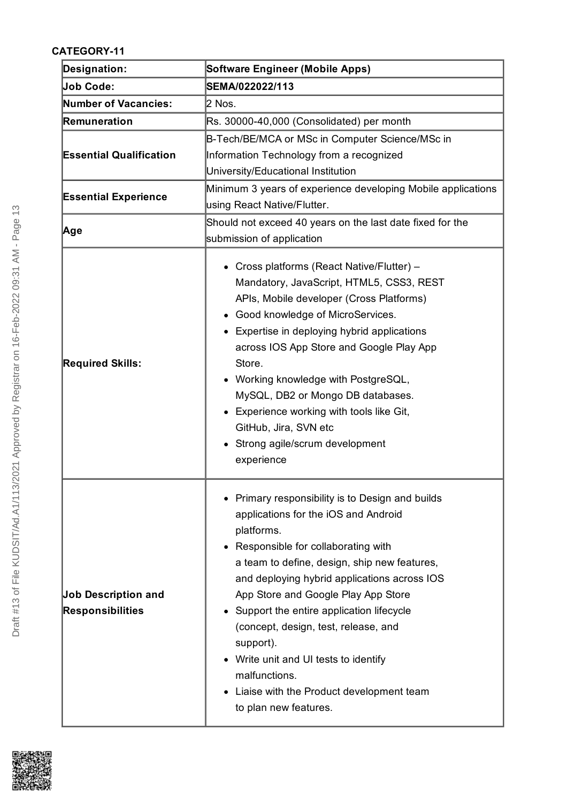| Designation:                                          | <b>Software Engineer (Mobile Apps)</b>                                                                                                                                                                                                                                                                                                                                                                                                                                                                                  |
|-------------------------------------------------------|-------------------------------------------------------------------------------------------------------------------------------------------------------------------------------------------------------------------------------------------------------------------------------------------------------------------------------------------------------------------------------------------------------------------------------------------------------------------------------------------------------------------------|
| Job Code:                                             | SEMA/022022/113                                                                                                                                                                                                                                                                                                                                                                                                                                                                                                         |
| <b>Number of Vacancies:</b>                           | 2 Nos.                                                                                                                                                                                                                                                                                                                                                                                                                                                                                                                  |
| Remuneration                                          | Rs. 30000-40,000 (Consolidated) per month                                                                                                                                                                                                                                                                                                                                                                                                                                                                               |
| <b>Essential Qualification</b>                        | B-Tech/BE/MCA or MSc in Computer Science/MSc in<br>Information Technology from a recognized<br>University/Educational Institution                                                                                                                                                                                                                                                                                                                                                                                       |
| <b>Essential Experience</b>                           | Minimum 3 years of experience developing Mobile applications<br>using React Native/Flutter.                                                                                                                                                                                                                                                                                                                                                                                                                             |
| Age                                                   | Should not exceed 40 years on the last date fixed for the<br>submission of application                                                                                                                                                                                                                                                                                                                                                                                                                                  |
| <b>Required Skills:</b>                               | • Cross platforms (React Native/Flutter) -<br>Mandatory, JavaScript, HTML5, CSS3, REST<br>APIs, Mobile developer (Cross Platforms)<br>Good knowledge of MicroServices.<br>• Expertise in deploying hybrid applications<br>across IOS App Store and Google Play App<br>Store.<br>Working knowledge with PostgreSQL,<br>MySQL, DB2 or Mongo DB databases.<br>• Experience working with tools like Git,<br>GitHub, Jira, SVN etc<br>Strong agile/scrum development<br>experience                                           |
| <b>Job Description and</b><br><b>Responsibilities</b> | Primary responsibility is to Design and builds<br>applications for the iOS and Android<br>platforms.<br>• Responsible for collaborating with<br>a team to define, design, ship new features,<br>and deploying hybrid applications across IOS<br>App Store and Google Play App Store<br>• Support the entire application lifecycle<br>(concept, design, test, release, and<br>support).<br>• Write unit and UI tests to identify<br>malfunctions.<br>• Liaise with the Product development team<br>to plan new features. |

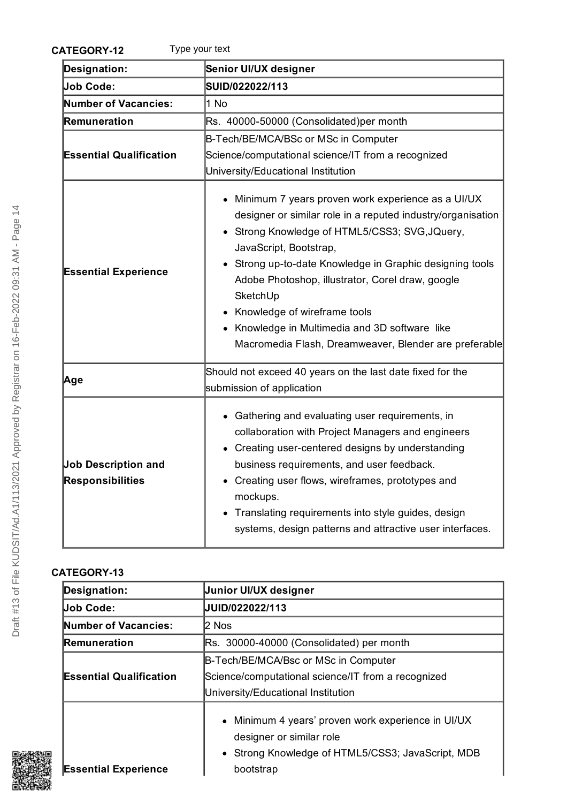| Type your text<br><b>CATEGORY-12</b>                  |                                                                                                                                                                                                                                                                                                                                                                                                                                                                       |
|-------------------------------------------------------|-----------------------------------------------------------------------------------------------------------------------------------------------------------------------------------------------------------------------------------------------------------------------------------------------------------------------------------------------------------------------------------------------------------------------------------------------------------------------|
| <b>Designation:</b>                                   | Senior UI/UX designer                                                                                                                                                                                                                                                                                                                                                                                                                                                 |
| <b>Job Code:</b>                                      | SUID/022022/113                                                                                                                                                                                                                                                                                                                                                                                                                                                       |
| <b>Number of Vacancies:</b>                           | 1 No                                                                                                                                                                                                                                                                                                                                                                                                                                                                  |
| Remuneration                                          | Rs. 40000-50000 (Consolidated)per month                                                                                                                                                                                                                                                                                                                                                                                                                               |
|                                                       | B-Tech/BE/MCA/BSc or MSc in Computer                                                                                                                                                                                                                                                                                                                                                                                                                                  |
| <b>Essential Qualification</b>                        | Science/computational science/IT from a recognized                                                                                                                                                                                                                                                                                                                                                                                                                    |
|                                                       | University/Educational Institution                                                                                                                                                                                                                                                                                                                                                                                                                                    |
| <b>Essential Experience</b>                           | • Minimum 7 years proven work experience as a UI/UX<br>designer or similar role in a reputed industry/organisation<br>• Strong Knowledge of HTML5/CSS3; SVG, JQuery,<br>JavaScript, Bootstrap,<br>Strong up-to-date Knowledge in Graphic designing tools<br>Adobe Photoshop, illustrator, Corel draw, google<br>SketchUp<br>• Knowledge of wireframe tools<br>• Knowledge in Multimedia and 3D software like<br>Macromedia Flash, Dreamweaver, Blender are preferable |
| Age                                                   | Should not exceed 40 years on the last date fixed for the<br>submission of application                                                                                                                                                                                                                                                                                                                                                                                |
| <b>Job Description and</b><br><b>Responsibilities</b> | • Gathering and evaluating user requirements, in<br>collaboration with Project Managers and engineers<br>• Creating user-centered designs by understanding<br>business requirements, and user feedback.<br>• Creating user flows, wireframes, prototypes and<br>mockups.<br>Translating requirements into style guides, design<br>$\bullet$<br>systems, design patterns and attractive user interfaces.                                                               |

| Designation:                   | <b>Junior UI/UX designer</b>                                                                                                                     |
|--------------------------------|--------------------------------------------------------------------------------------------------------------------------------------------------|
| <b>Job Code:</b>               | UUID/022022/113                                                                                                                                  |
| <b>Number of Vacancies:</b>    | l2 Nos                                                                                                                                           |
| Remuneration                   | Rs. 30000-40000 (Consolidated) per month                                                                                                         |
| <b>Essential Qualification</b> | B-Tech/BE/MCA/Bsc or MSc in Computer<br>Science/computational science/IT from a recognized<br>University/Educational Institution                 |
| <b>Essential Experience</b>    | • Minimum 4 years' proven work experience in UI/UX<br>designer or similar role<br>• Strong Knowledge of HTML5/CSS3; JavaScript, MDB<br>bootstrap |



Draft #13 of File KUDSIT/Ad.A1/113/2021 Approved by Registrar on 16-Feb-2022 09:31 AM - Page 14

Draft #13 of File KUDSIT/Ad.A1/113/2021 Approved by Registrar on 16-Feb-2022 09:31 AM - Page 14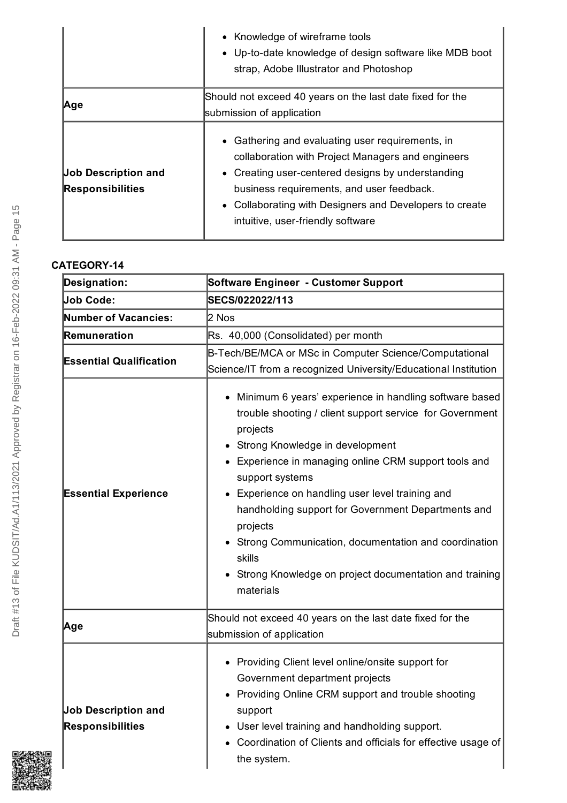|                                                       | • Knowledge of wireframe tools<br>• Up-to-date knowledge of design software like MDB boot<br>strap, Adobe Illustrator and Photoshop                                                                                                                                                                     |
|-------------------------------------------------------|---------------------------------------------------------------------------------------------------------------------------------------------------------------------------------------------------------------------------------------------------------------------------------------------------------|
| <b>Age</b>                                            | Should not exceed 40 years on the last date fixed for the<br>submission of application                                                                                                                                                                                                                  |
| <b>Job Description and</b><br><b>Responsibilities</b> | • Gathering and evaluating user requirements, in<br>collaboration with Project Managers and engineers<br>• Creating user-centered designs by understanding<br>business requirements, and user feedback.<br>• Collaborating with Designers and Developers to create<br>intuitive, user-friendly software |

| Designation:                                          | Software Engineer - Customer Support                                                                                                                                                                                                                                                                                                                                                                                                                                                                         |
|-------------------------------------------------------|--------------------------------------------------------------------------------------------------------------------------------------------------------------------------------------------------------------------------------------------------------------------------------------------------------------------------------------------------------------------------------------------------------------------------------------------------------------------------------------------------------------|
| <b>Job Code:</b>                                      | SECS/022022/113                                                                                                                                                                                                                                                                                                                                                                                                                                                                                              |
| Number of Vacancies:                                  | 2 Nos                                                                                                                                                                                                                                                                                                                                                                                                                                                                                                        |
| Remuneration                                          | Rs. 40,000 (Consolidated) per month                                                                                                                                                                                                                                                                                                                                                                                                                                                                          |
| <b>Essential Qualification</b>                        | B-Tech/BE/MCA or MSc in Computer Science/Computational<br>Science/IT from a recognized University/Educational Institution                                                                                                                                                                                                                                                                                                                                                                                    |
| <b>Essential Experience</b>                           | • Minimum 6 years' experience in handling software based<br>trouble shooting / client support service for Government<br>projects<br>Strong Knowledge in development<br>Experience in managing online CRM support tools and<br>support systems<br>Experience on handling user level training and<br>handholding support for Government Departments and<br>projects<br>• Strong Communication, documentation and coordination<br>skills<br>Strong Knowledge on project documentation and training<br>materials |
| Age                                                   | Should not exceed 40 years on the last date fixed for the<br>submission of application                                                                                                                                                                                                                                                                                                                                                                                                                       |
| <b>Job Description and</b><br><b>Responsibilities</b> | • Providing Client level online/onsite support for<br>Government department projects<br>• Providing Online CRM support and trouble shooting<br>support<br>• User level training and handholding support.<br>Coordination of Clients and officials for effective usage of<br>the system.                                                                                                                                                                                                                      |

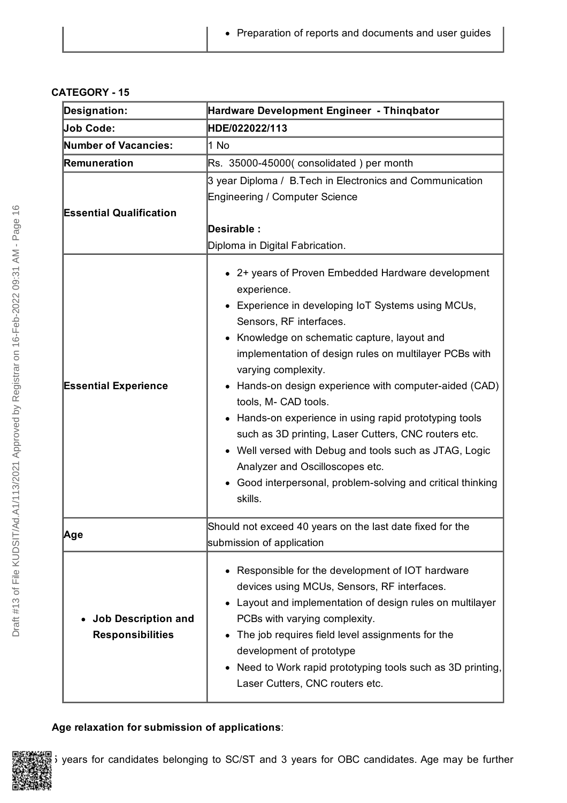| <b>Designation:</b>                                   | Hardware Development Engineer - Thinqbator                                                                                                                                                                                                                                                                                                                                                                                                                                                                                                                                                                                                           |
|-------------------------------------------------------|------------------------------------------------------------------------------------------------------------------------------------------------------------------------------------------------------------------------------------------------------------------------------------------------------------------------------------------------------------------------------------------------------------------------------------------------------------------------------------------------------------------------------------------------------------------------------------------------------------------------------------------------------|
| <b>Job Code:</b>                                      | HDE/022022/113                                                                                                                                                                                                                                                                                                                                                                                                                                                                                                                                                                                                                                       |
| Number of Vacancies:                                  | 1 No                                                                                                                                                                                                                                                                                                                                                                                                                                                                                                                                                                                                                                                 |
| Remuneration                                          | Rs. 35000-45000(consolidated) per month                                                                                                                                                                                                                                                                                                                                                                                                                                                                                                                                                                                                              |
| <b>Essential Qualification</b>                        | 3 year Diploma / B.Tech in Electronics and Communication<br><b>Engineering / Computer Science</b><br>Desirable:<br>Diploma in Digital Fabrication.                                                                                                                                                                                                                                                                                                                                                                                                                                                                                                   |
| <b>Essential Experience</b>                           | • 2+ years of Proven Embedded Hardware development<br>experience.<br>Experience in developing IoT Systems using MCUs,<br>Sensors, RF interfaces.<br>Knowledge on schematic capture, layout and<br>implementation of design rules on multilayer PCBs with<br>varying complexity.<br>Hands-on design experience with computer-aided (CAD)<br>tools, M- CAD tools.<br>Hands-on experience in using rapid prototyping tools<br>such as 3D printing, Laser Cutters, CNC routers etc.<br>• Well versed with Debug and tools such as JTAG, Logic<br>Analyzer and Oscilloscopes etc.<br>Good interpersonal, problem-solving and critical thinking<br>skills. |
| ∣Age                                                  | Should not exceed 40 years on the last date fixed for the<br>submission of application                                                                                                                                                                                                                                                                                                                                                                                                                                                                                                                                                               |
| <b>Job Description and</b><br><b>Responsibilities</b> | Responsible for the development of IOT hardware<br>devices using MCUs, Sensors, RF interfaces.<br>Layout and implementation of design rules on multilayer<br>PCBs with varying complexity.<br>The job requires field level assignments for the<br>development of prototype<br>Need to Work rapid prototyping tools such as 3D printing,<br>Laser Cutters, CNC routers etc.                                                                                                                                                                                                                                                                           |

### **Age relaxation for submission of applications**:

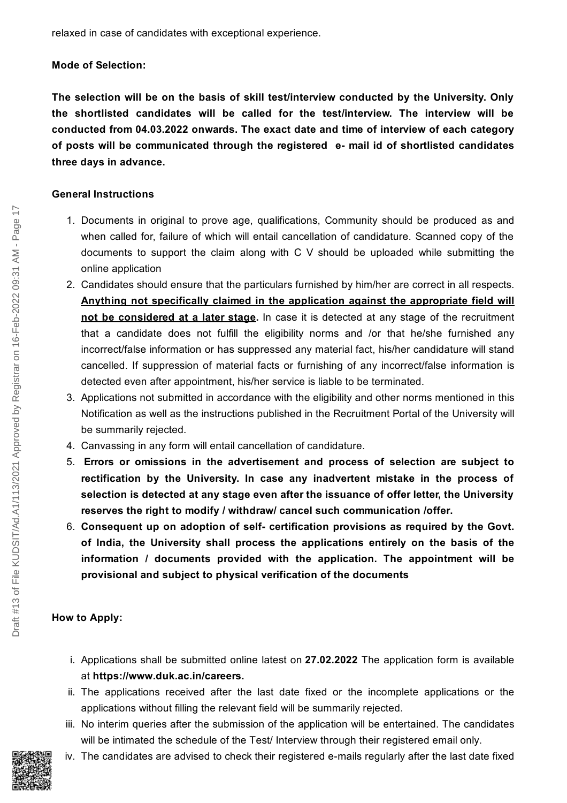relaxed in case of candidates with exceptional experience.

#### **Mode of Selection:**

**The selection will be on the basis of skill test/interview conducted by the University. Only the shortlisted candidates will be called for the test/interview. The interview will be conducted from 04.03.2022 onwards. The exact date and time of interview of each category of posts will be communicated through the registered e- mail id of shortlisted candidates three days in advance.**

#### **General Instructions**

- 1. Documents in original to prove age, qualifications, Community should be produced as and when called for, failure of which will entail cancellation of candidature. Scanned copy of the documents to support the claim along with C V should be uploaded while submitting the online application
- 2. Candidates should ensure that the particulars furnished by him/her are correct in all respects. **Anything not specifically claimed in the application against the appropriate field will not be considered at a later stage.** In case it is detected at any stage of the recruitment that a candidate does not fulfill the eligibility norms and /or that he/she furnished any incorrect/false information or has suppressed any material fact, his/her candidature will stand cancelled. If suppression of material facts or furnishing of any incorrect/false information is detected even after appointment, his/her service is liable to be terminated.
- 3. Applications not submitted in accordance with the eligibility and other norms mentioned in this Notification as well as the instructions published in the Recruitment Portal of the University will be summarily rejected.
- 4. Canvassing in any form will entail cancellation of candidature.
- 5. **Errors or omissions in the advertisement and process of selection are subject to rectification by the University. In case any inadvertent mistake in the process of selection is detected at any stage even after the issuance of offer letter, the University reserves the right to modify / withdraw/ cancel such communication /offer.**
- 6. **Consequent up on adoption of self- certification provisions as required by the Govt. of India, the University shall process the applications entirely on the basis of the information / documents provided with the application. The appointment will be provisional and subject to physical verification of the documents**

#### **How to Apply:**

- i. Applications shall be submitted online latest on **27.02.2022** The application form is available at **<https://www.duk.ac.in/careers>.**
- ii. The applications received after the last date fixed or the incomplete applications or the applications without filling the relevant field will be summarily rejected.
- iii. No interim queries after the submission of the application will be entertained. The candidates will be intimated the schedule of the Test/ Interview through their registered email only.
- iv. The candidates are advised to check their registered e-mails regularly after the last date fixed